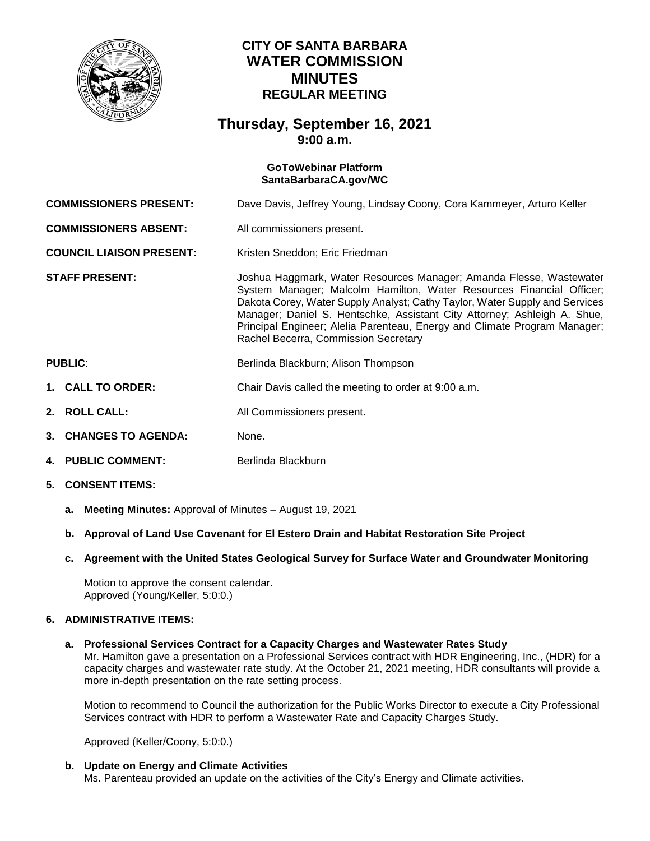

# **CITY OF SANTA BARBARA WATER COMMISSION MINUTES REGULAR MEETING**

## **Thursday, September 16, 2021 9:00 a.m.**

#### **GoToWebinar Platform [SantaBarbaraCA.gov/WC](https://www.santabarbaraca.gov/gov/brdcomm/nz/water/agendas.asp)**

**COMMISSIONERS PRESENT:** Dave Davis, Jeffrey Young, Lindsay Coony, Cora Kammeyer, Arturo Keller

**COMMISSIONERS ABSENT:** All commissioners present.

**COUNCIL LIAISON PRESENT:** Kristen Sneddon: Eric Friedman

**STAFF PRESENT:** Joshua Haggmark, Water Resources Manager; Amanda Flesse, Wastewater System Manager; Malcolm Hamilton, Water Resources Financial Officer; Dakota Corey, Water Supply Analyst; Cathy Taylor, Water Supply and Services Manager; Daniel S. Hentschke, Assistant City Attorney; Ashleigh A. Shue, Principal Engineer; Alelia Parenteau, Energy and Climate Program Manager; Rachel Becerra, Commission Secretary

## **PUBLIC:** Berlinda Blackburn; Alison Thompson

- **1. CALL TO ORDER:** Chair Davis called the meeting to order at 9:00 a.m.
- **2. ROLL CALL:** All Commissioners present.
- **3. CHANGES TO AGENDA:** None.
- **4. PUBLIC COMMENT:** Berlinda Blackburn
- **5. CONSENT ITEMS:**
	- **a. Meeting Minutes:** Approval of Minutes August 19, 2021
	- **b. Approval of Land Use Covenant for El Estero Drain and Habitat Restoration Site Project**
	- **c. Agreement with the United States Geological Survey for Surface Water and Groundwater Monitoring**

Motion to approve the consent calendar. Approved (Young/Keller, 5:0:0.)

### **6. ADMINISTRATIVE ITEMS:**

### **a. Professional Services Contract for a Capacity Charges and Wastewater Rates Study**

Mr. Hamilton gave a presentation on a Professional Services contract with HDR Engineering, Inc., (HDR) for a capacity charges and wastewater rate study. At the October 21, 2021 meeting, HDR consultants will provide a more in-depth presentation on the rate setting process.

Motion to recommend to Council the authorization for the Public Works Director to execute a City Professional Services contract with HDR to perform a Wastewater Rate and Capacity Charges Study.

Approved (Keller/Coony, 5:0:0.)

### **b. Update on Energy and Climate Activities**

Ms. Parenteau provided an update on the activities of the City's Energy and Climate activities.